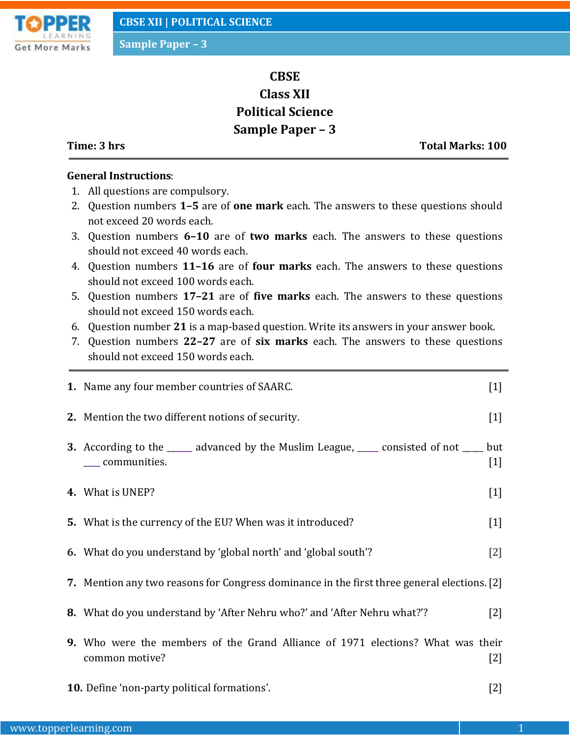

# **CBSE Class XII Political Science Sample Paper – 3**

**Time: 3 hrs Total Marks: 100**

## **General Instructions**:

- 1. All questions are compulsory.
- 2. Question numbers **1–5** are of **one mark** each. The answers to these questions should not exceed 20 words each.
- 3. Question numbers **6–10** are of **two marks** each. The answers to these questions should not exceed 40 words each.
- 4. Question numbers **11–16** are of **four marks** each. The answers to these questions should not exceed 100 words each.
- 5. Question numbers **17–21** are of **five marks** each. The answers to these questions should not exceed 150 words each.
- 6. Question number **21** is a map-based question. Write its answers in your answer book.
- 7. Question numbers **22–27** are of **six marks** each. The answers to these questions should not exceed 150 words each.

| 1. Name any four member countries of SAARC.                                                                     | $[1]$             |
|-----------------------------------------------------------------------------------------------------------------|-------------------|
| 2. Mention the two different notions of security.                                                               | $[1]$             |
| 3. According to the ______ advanced by the Muslim League, _____ consisted of not _____ but<br>____ communities. | $[1]$             |
| 4. What is UNEP?                                                                                                | $[1]$             |
| 5. What is the currency of the EU? When was it introduced?                                                      | $[1]$             |
| 6. What do you understand by 'global north' and 'global south'?                                                 | $[2]$             |
| 7. Mention any two reasons for Congress dominance in the first three general elections. [2]                     |                   |
| <b>8.</b> What do you understand by 'After Nehru who?' and 'After Nehru what?'?                                 | $\lceil 2 \rceil$ |
| <b>9.</b> Who were the members of the Grand Alliance of 1971 elections? What was their<br>common motive?        | [2]               |

**10.** Define 'non-party political formations'. [2]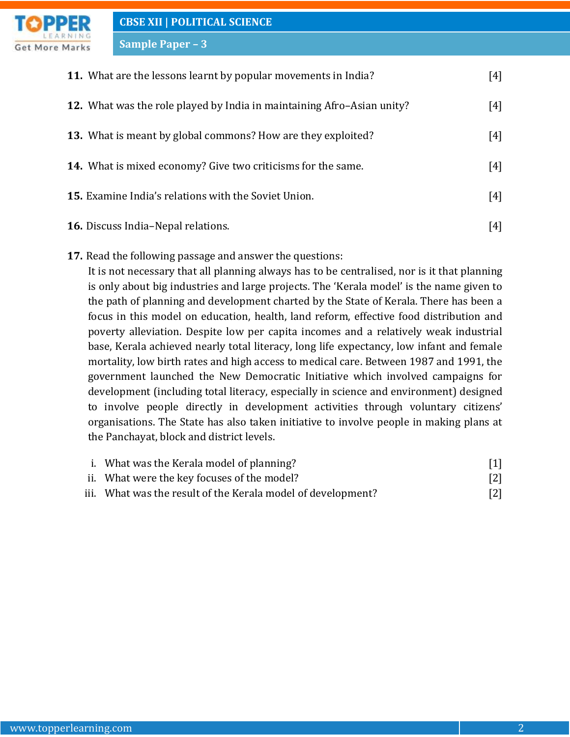

**Sample Paper – 3**

| <b>11.</b> What are the lessons learnt by popular movements in India?         | $[4]$ |
|-------------------------------------------------------------------------------|-------|
| <b>12.</b> What was the role played by India in maintaining Afro–Asian unity? | $[4]$ |
| 13. What is meant by global commons? How are they exploited?                  | $[4]$ |
| <b>14.</b> What is mixed economy? Give two criticisms for the same.           | $[4]$ |
| <b>15.</b> Examine India's relations with the Soviet Union.                   | [4]   |
| <b>16.</b> Discuss India–Nepal relations.                                     | [4]   |

**17.** Read the following passage and answer the questions:

It is not necessary that all planning always has to be centralised, nor is it that planning is only about big industries and large projects. The 'Kerala model' is the name given to the path of planning and development charted by the State of Kerala. There has been a focus in this model on education, health, land reform, effective food distribution and poverty alleviation. Despite low per capita incomes and a relatively weak industrial base, Kerala achieved nearly total literacy, long life expectancy, low infant and female mortality, low birth rates and high access to medical care. Between 1987 and 1991, the government launched the New Democratic Initiative which involved campaigns for development (including total literacy, especially in science and environment) designed to involve people directly in development activities through voluntary citizens' organisations. The State has also taken initiative to involve people in making plans at the Panchayat, block and district levels.

| i. What was the Kerala model of planning?                    | $[1]$             |
|--------------------------------------------------------------|-------------------|
| ii. What were the key focuses of the model?                  | $\lceil 2 \rceil$ |
| iii. What was the result of the Kerala model of development? | $\lceil 2 \rceil$ |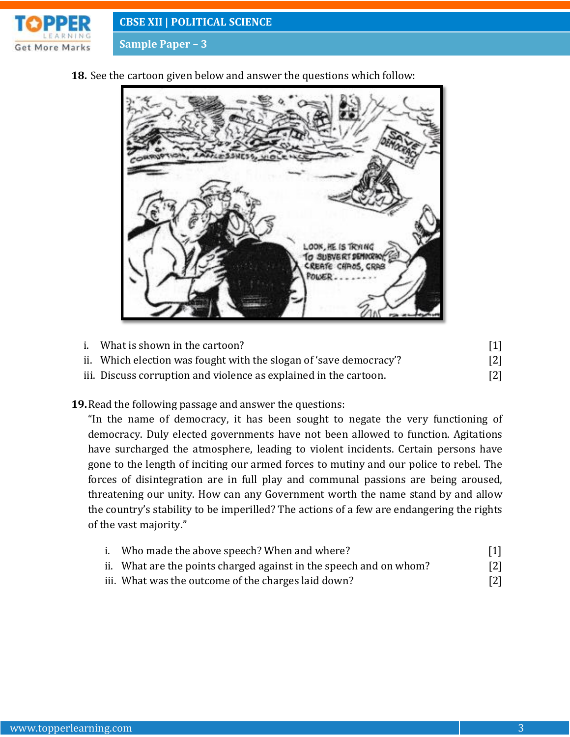

**CBSE XII | POLITICAL SCIENCE**

**Sample Paper – 3**

**18.** See the cartoon given below and answer the questions which follow:



| i. | What is shown in the cartoon?                                      |     |
|----|--------------------------------------------------------------------|-----|
|    | ii. Which election was fought with the slogan of 'save democracy'? | [2] |
|    | iii. Discuss corruption and violence as explained in the cartoon.  | [2] |

**19.**Read the following passage and answer the questions:

"In the name of democracy, it has been sought to negate the very functioning of democracy. Duly elected governments have not been allowed to function. Agitations have surcharged the atmosphere, leading to violent incidents. Certain persons have gone to the length of inciting our armed forces to mutiny and our police to rebel. The forces of disintegration are in full play and communal passions are being aroused, threatening our unity. How can any Government worth the name stand by and allow the country's stability to be imperilled? The actions of a few are endangering the rights of the vast majority."

| i. Who made the above speech? When and where?                      | $[1]$             |
|--------------------------------------------------------------------|-------------------|
| ii. What are the points charged against in the speech and on whom? | $\lceil 2 \rceil$ |
| iii. What was the outcome of the charges laid down?                | $\lceil 2 \rceil$ |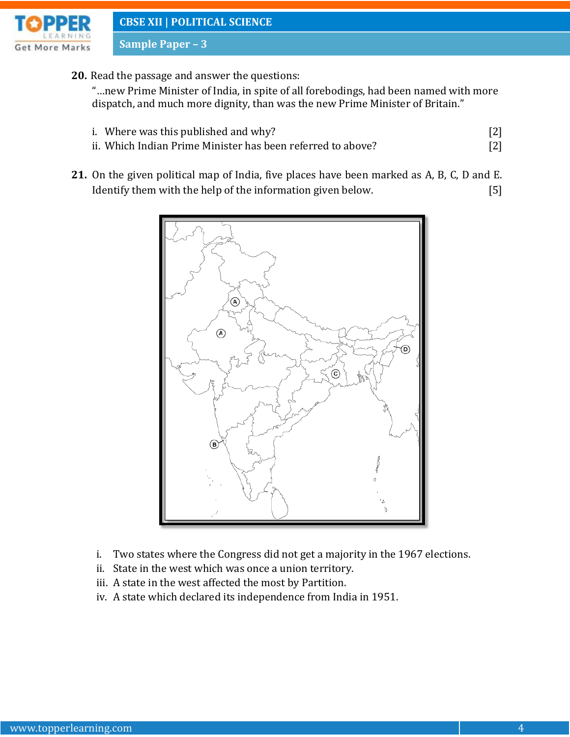

**CBSE XII | POLITICAL SCIENCE**

**Sample Paper – 3**

**20.** Read the passage and answer the questions:

"…new Prime Minister of India, in spite of all forebodings, had been named with more dispatch, and much more dignity, than was the new Prime Minister of Britain."

- i. Where was this published and why?  $[2]$
- ii. Which Indian Prime Minister has been referred to above? [2]
- **21.** On the given political map of India, five places have been marked as A, B, C, D and E. Identify them with the help of the information given below. [5]



- i. Two states where the Congress did not get a majority in the 1967 elections.
- ii. State in the west which was once a union territory.
- iii. A state in the west affected the most by Partition.
- iv. A state which declared its independence from India in 1951.